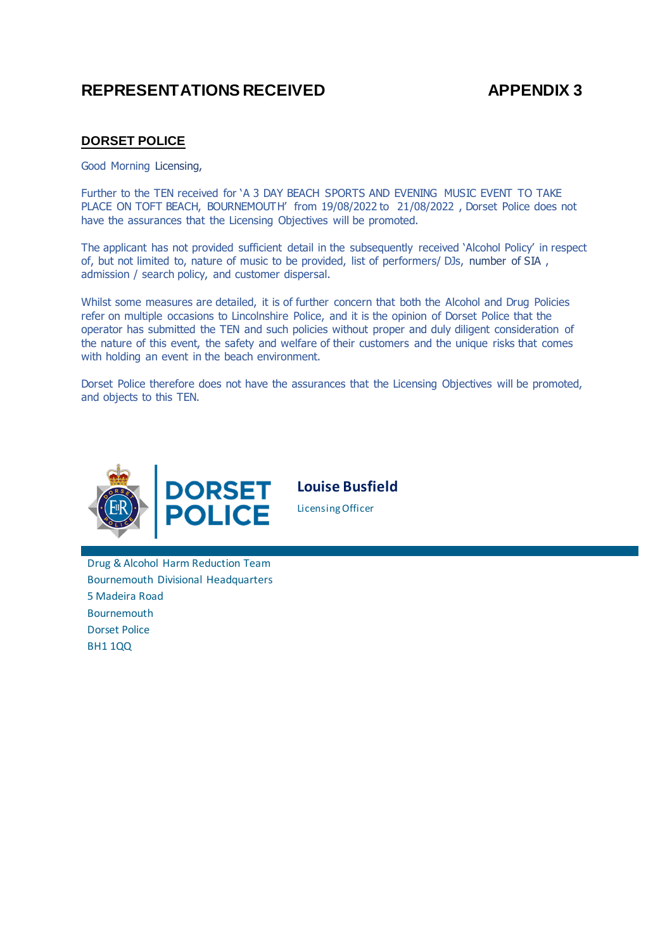# REPRESENTATIONS RECEIVED **APPENDIX 3**

# **DORSET POLICE**

Good Morning Licensing,

Further to the TEN received for 'A 3 DAY BEACH SPORTS AND EVENING MUSIC EVENT TO TAKE PLACE ON TOFT BEACH, BOURNEMOUTH' from 19/08/2022 to  21/08/2022 , Dorset Police does not have the assurances that the Licensing Objectives will be promoted.

The applicant has not provided sufficient detail in the subsequently received 'Alcohol Policy' in respect of, but not limited to, nature of music to be provided, list of performers/ DJs, number of SIA , admission / search policy, and customer dispersal.

Whilst some measures are detailed, it is of further concern that both the Alcohol and Drug Policies refer on multiple occasions to Lincolnshire Police, and it is the opinion of Dorset Police that the operator has submitted the TEN and such policies without proper and duly diligent consideration of the nature of this event, the safety and welfare of their customers and the unique risks that comes with holding an event in the beach environment.

Dorset Police therefore does not have the assurances that the Licensing Objectives will be promoted, and objects to this TEN.



**Louise Busfield**

Licensing Officer

Drug & Alcohol Harm Reduction Team Bournemouth Divisional Headquarters 5 Madeira Road Bournemouth Dorset Police BH1 1QQ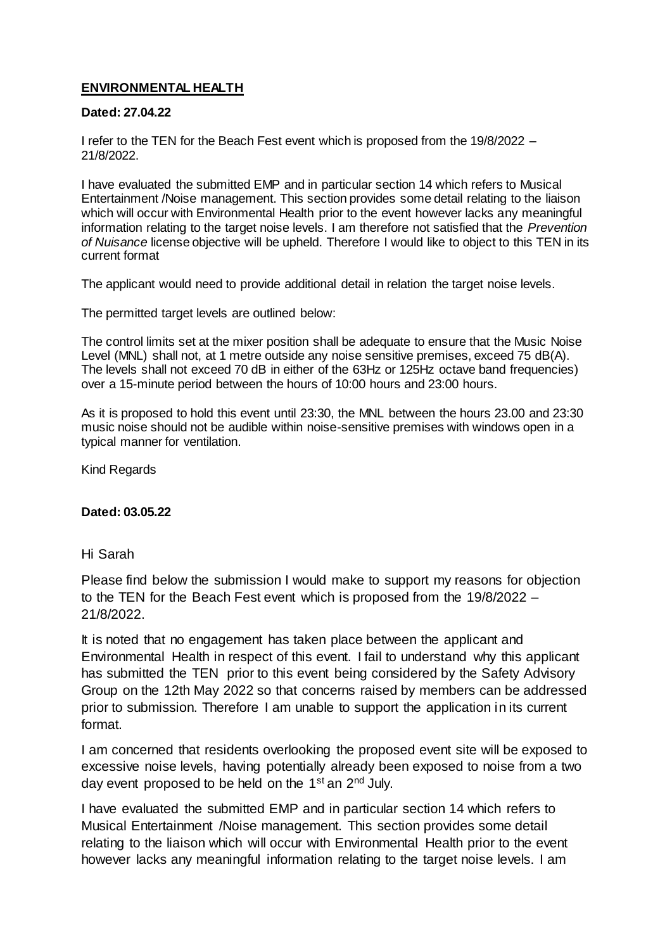# **ENVIRONMENTAL HEALTH**

## **Dated: 27.04.22**

I refer to the TEN for the Beach Fest event which is proposed from the 19/8/2022 – 21/8/2022.

I have evaluated the submitted EMP and in particular section 14 which refers to Musical Entertainment /Noise management. This section provides some detail relating to the liaison which will occur with Environmental Health prior to the event however lacks any meaningful information relating to the target noise levels. I am therefore not satisfied that the *Prevention of Nuisance* license objective will be upheld. Therefore I would like to object to this TEN in its current format

The applicant would need to provide additional detail in relation the target noise levels.

The permitted target levels are outlined below:

The control limits set at the mixer position shall be adequate to ensure that the Music Noise Level (MNL) shall not, at 1 metre outside any noise sensitive premises, exceed 75 dB(A). The levels shall not exceed 70 dB in either of the 63Hz or 125Hz octave band frequencies) over a 15-minute period between the hours of 10:00 hours and 23:00 hours.

As it is proposed to hold this event until 23:30, the MNL between the hours 23.00 and 23:30 music noise should not be audible within noise-sensitive premises with windows open in a typical manner for ventilation.

Kind Regards

### **Dated: 03.05.22**

### Hi Sarah

Please find below the submission I would make to support my reasons for objection to the TEN for the Beach Fest event which is proposed from the 19/8/2022 – 21/8/2022.

It is noted that no engagement has taken place between the applicant and Environmental Health in respect of this event. I fail to understand why this applicant has submitted the TEN prior to this event being considered by the Safety Advisory Group on the 12th May 2022 so that concerns raised by members can be addressed prior to submission. Therefore I am unable to support the application in its current format.

I am concerned that residents overlooking the proposed event site will be exposed to excessive noise levels, having potentially already been exposed to noise from a two day event proposed to be held on the 1st an 2nd July.

I have evaluated the submitted EMP and in particular section 14 which refers to Musical Entertainment /Noise management. This section provides some detail relating to the liaison which will occur with Environmental Health prior to the event however lacks any meaningful information relating to the target noise levels. I am